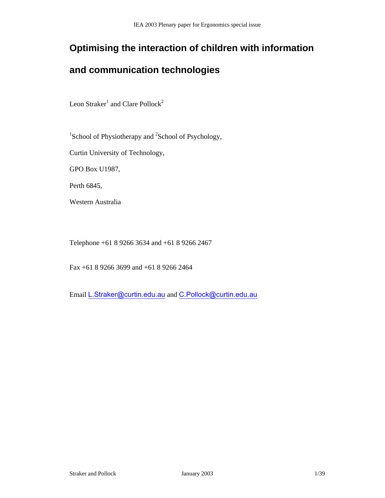# **Optimising the interaction of children with information**

# **and communication technologies**

Leon Straker<sup>1</sup> and Clare Pollock<sup>2</sup>

<sup>1</sup>School of Physiotherapy and <sup>2</sup>School of Psychology,

Curtin University of Technology,

GPO Box U1987,

Perth 6845,

Western Australia

Telephone +61 8 9266 3634 and +61 8 9266 2467

Fax +61 8 9266 3699 and +61 8 9266 2464

Email L.Straker@curtin.edu.au and C.Pollock@curtin.edu.au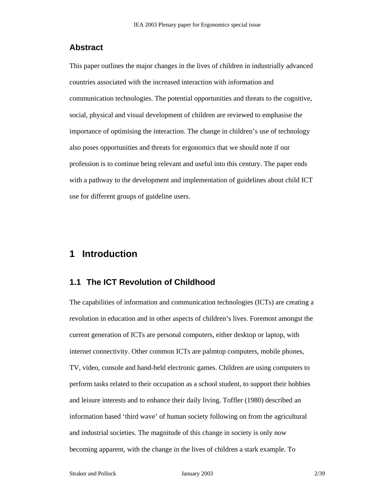### **Abstract**

This paper outlines the major changes in the lives of children in industrially advanced countries associated with the increased interaction with information and communication technologies. The potential opportunities and threats to the cognitive, social, physical and visual development of children are reviewed to emphasise the importance of optimising the interaction. The change in children's use of technology also poses opportunities and threats for ergonomics that we should note if our profession is to continue being relevant and useful into this century. The paper ends with a pathway to the development and implementation of guidelines about child ICT use for different groups of guideline users.

# **1 Introduction**

### **1.1 The ICT Revolution of Childhood**

The capabilities of information and communication technologies (ICTs) are creating a revolution in education and in other aspects of children's lives. Foremost amongst the current generation of ICTs are personal computers, either desktop or laptop, with internet connectivity. Other common ICTs are palmtop computers, mobile phones, TV, video, console and hand-held electronic games. Children are using computers to perform tasks related to their occupation as a school student, to support their hobbies and leisure interests and to enhance their daily living. Toffler (1980) described an information based 'third wave' of human society following on from the agricultural and industrial societies. The magnitude of this change in society is only now becoming apparent, with the change in the lives of children a stark example. To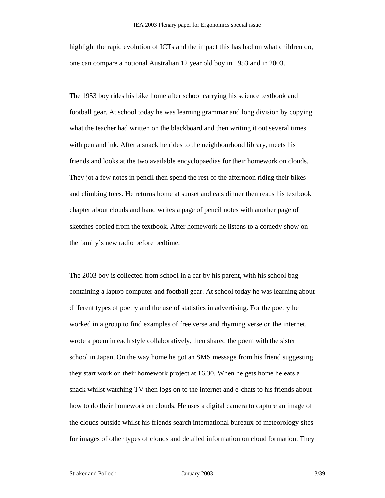highlight the rapid evolution of ICTs and the impact this has had on what children do, one can compare a notional Australian 12 year old boy in 1953 and in 2003.

The 1953 boy rides his bike home after school carrying his science textbook and football gear. At school today he was learning grammar and long division by copying what the teacher had written on the blackboard and then writing it out several times with pen and ink. After a snack he rides to the neighbourhood library, meets his friends and looks at the two available encyclopaedias for their homework on clouds. They jot a few notes in pencil then spend the rest of the afternoon riding their bikes and climbing trees. He returns home at sunset and eats dinner then reads his textbook chapter about clouds and hand writes a page of pencil notes with another page of sketches copied from the textbook. After homework he listens to a comedy show on the family's new radio before bedtime.

The 2003 boy is collected from school in a car by his parent, with his school bag containing a laptop computer and football gear. At school today he was learning about different types of poetry and the use of statistics in advertising. For the poetry he worked in a group to find examples of free verse and rhyming verse on the internet, wrote a poem in each style collaboratively, then shared the poem with the sister school in Japan. On the way home he got an SMS message from his friend suggesting they start work on their homework project at 16.30. When he gets home he eats a snack whilst watching TV then logs on to the internet and e-chats to his friends about how to do their homework on clouds. He uses a digital camera to capture an image of the clouds outside whilst his friends search international bureaux of meteorology sites for images of other types of clouds and detailed information on cloud formation. They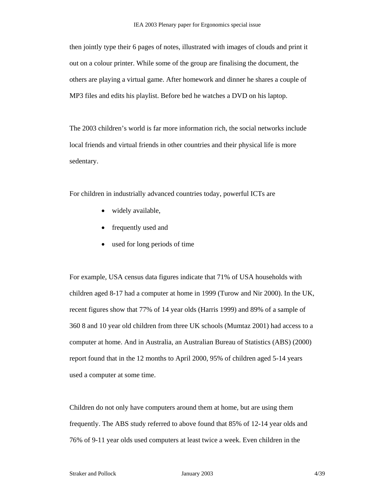then jointly type their 6 pages of notes, illustrated with images of clouds and print it out on a colour printer. While some of the group are finalising the document, the others are playing a virtual game. After homework and dinner he shares a couple of MP3 files and edits his playlist. Before bed he watches a DVD on his laptop.

The 2003 children's world is far more information rich, the social networks include local friends and virtual friends in other countries and their physical life is more sedentary.

For children in industrially advanced countries today, powerful ICTs are

- widely available,
- frequently used and
- used for long periods of time

For example, USA census data figures indicate that 71% of USA households with children aged 8-17 had a computer at home in 1999 (Turow and Nir 2000). In the UK, recent figures show that 77% of 14 year olds (Harris 1999) and 89% of a sample of 360 8 and 10 year old children from three UK schools (Mumtaz 2001) had access to a computer at home. And in Australia, an Australian Bureau of Statistics (ABS) (2000) report found that in the 12 months to April 2000, 95% of children aged 5-14 years used a computer at some time.

Children do not only have computers around them at home, but are using them frequently. The ABS study referred to above found that 85% of 12-14 year olds and 76% of 9-11 year olds used computers at least twice a week. Even children in the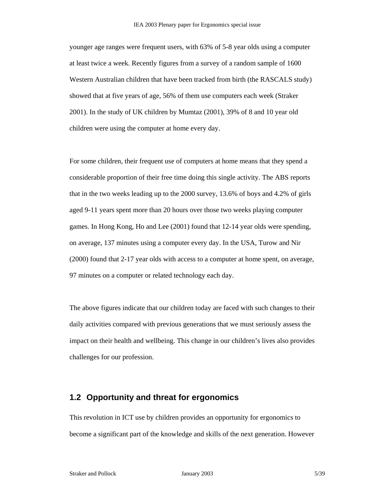younger age ranges were frequent users, with 63% of 5-8 year olds using a computer at least twice a week. Recently figures from a survey of a random sample of 1600 Western Australian children that have been tracked from birth (the RASCALS study) showed that at five years of age, 56% of them use computers each week (Straker 2001). In the study of UK children by Mumtaz (2001), 39% of 8 and 10 year old children were using the computer at home every day.

For some children, their frequent use of computers at home means that they spend a considerable proportion of their free time doing this single activity. The ABS reports that in the two weeks leading up to the 2000 survey, 13.6% of boys and 4.2% of girls aged 9-11 years spent more than 20 hours over those two weeks playing computer games. In Hong Kong, Ho and Lee (2001) found that 12-14 year olds were spending, on average, 137 minutes using a computer every day. In the USA, Turow and Nir (2000) found that 2-17 year olds with access to a computer at home spent, on average, 97 minutes on a computer or related technology each day.

The above figures indicate that our children today are faced with such changes to their daily activities compared with previous generations that we must seriously assess the impact on their health and wellbeing. This change in our children's lives also provides challenges for our profession.

### **1.2 Opportunity and threat for ergonomics**

This revolution in ICT use by children provides an opportunity for ergonomics to become a significant part of the knowledge and skills of the next generation. However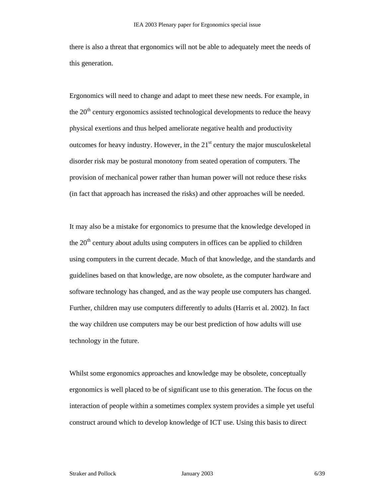there is also a threat that ergonomics will not be able to adequately meet the needs of this generation.

Ergonomics will need to change and adapt to meet these new needs. For example, in the  $20<sup>th</sup>$  century ergonomics assisted technological developments to reduce the heavy physical exertions and thus helped ameliorate negative health and productivity outcomes for heavy industry. However, in the  $21<sup>st</sup>$  century the major musculoskeletal disorder risk may be postural monotony from seated operation of computers. The provision of mechanical power rather than human power will not reduce these risks (in fact that approach has increased the risks) and other approaches will be needed.

It may also be a mistake for ergonomics to presume that the knowledge developed in the  $20<sup>th</sup>$  century about adults using computers in offices can be applied to children using computers in the current decade. Much of that knowledge, and the standards and guidelines based on that knowledge, are now obsolete, as the computer hardware and software technology has changed, and as the way people use computers has changed. Further, children may use computers differently to adults (Harris et al. 2002). In fact the way children use computers may be our best prediction of how adults will use technology in the future.

Whilst some ergonomics approaches and knowledge may be obsolete, conceptually ergonomics is well placed to be of significant use to this generation. The focus on the interaction of people within a sometimes complex system provides a simple yet useful construct around which to develop knowledge of ICT use. Using this basis to direct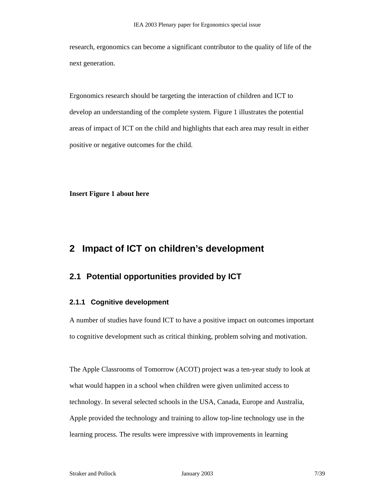research, ergonomics can become a significant contributor to the quality of life of the next generation.

Ergonomics research should be targeting the interaction of children and ICT to develop an understanding of the complete system. Figure 1 illustrates the potential areas of impact of ICT on the child and highlights that each area may result in either positive or negative outcomes for the child.

**Insert Figure 1 about here** 

# **2 Impact of ICT on children's development**

### **2.1 Potential opportunities provided by ICT**

#### **2.1.1 Cognitive development**

A number of studies have found ICT to have a positive impact on outcomes important to cognitive development such as critical thinking, problem solving and motivation.

The Apple Classrooms of Tomorrow (ACOT) project was a ten-year study to look at what would happen in a school when children were given unlimited access to technology. In several selected schools in the USA, Canada, Europe and Australia, Apple provided the technology and training to allow top-line technology use in the learning process. The results were impressive with improvements in learning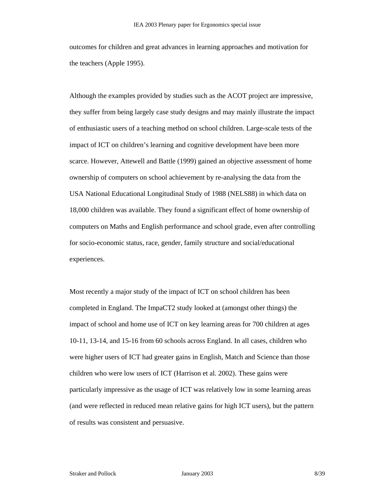outcomes for children and great advances in learning approaches and motivation for the teachers (Apple 1995).

Although the examples provided by studies such as the ACOT project are impressive, they suffer from being largely case study designs and may mainly illustrate the impact of enthusiastic users of a teaching method on school children. Large-scale tests of the impact of ICT on children's learning and cognitive development have been more scarce. However, Attewell and Battle (1999) gained an objective assessment of home ownership of computers on school achievement by re-analysing the data from the USA National Educational Longitudinal Study of 1988 (NELS88) in which data on 18,000 children was available. They found a significant effect of home ownership of computers on Maths and English performance and school grade, even after controlling for socio-economic status, race, gender, family structure and social/educational experiences.

Most recently a major study of the impact of ICT on school children has been completed in England. The ImpaCT2 study looked at (amongst other things) the impact of school and home use of ICT on key learning areas for 700 children at ages 10-11, 13-14, and 15-16 from 60 schools across England. In all cases, children who were higher users of ICT had greater gains in English, Match and Science than those children who were low users of ICT (Harrison et al. 2002). These gains were particularly impressive as the usage of ICT was relatively low in some learning areas (and were reflected in reduced mean relative gains for high ICT users), but the pattern of results was consistent and persuasive.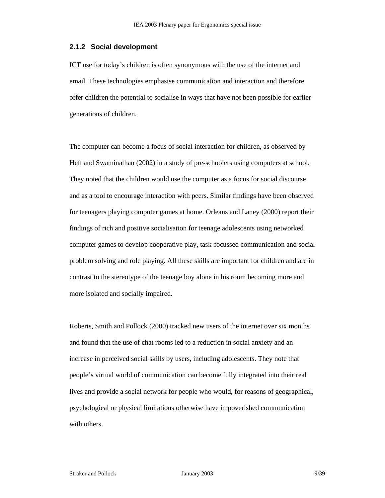#### **2.1.2 Social development**

ICT use for today's children is often synonymous with the use of the internet and email. These technologies emphasise communication and interaction and therefore offer children the potential to socialise in ways that have not been possible for earlier generations of children.

The computer can become a focus of social interaction for children, as observed by Heft and Swaminathan (2002) in a study of pre-schoolers using computers at school. They noted that the children would use the computer as a focus for social discourse and as a tool to encourage interaction with peers. Similar findings have been observed for teenagers playing computer games at home. Orleans and Laney (2000) report their findings of rich and positive socialisation for teenage adolescents using networked computer games to develop cooperative play, task-focussed communication and social problem solving and role playing. All these skills are important for children and are in contrast to the stereotype of the teenage boy alone in his room becoming more and more isolated and socially impaired.

Roberts, Smith and Pollock (2000) tracked new users of the internet over six months and found that the use of chat rooms led to a reduction in social anxiety and an increase in perceived social skills by users, including adolescents. They note that people's virtual world of communication can become fully integrated into their real lives and provide a social network for people who would, for reasons of geographical, psychological or physical limitations otherwise have impoverished communication with others.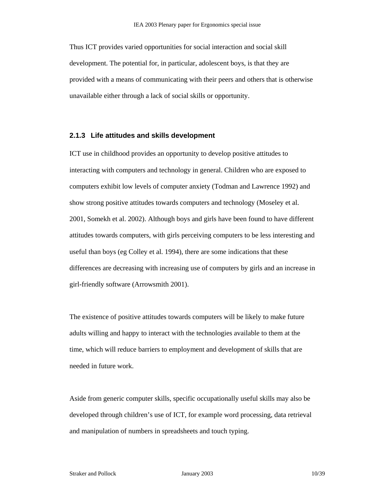Thus ICT provides varied opportunities for social interaction and social skill development. The potential for, in particular, adolescent boys, is that they are provided with a means of communicating with their peers and others that is otherwise unavailable either through a lack of social skills or opportunity.

#### **2.1.3 Life attitudes and skills development**

ICT use in childhood provides an opportunity to develop positive attitudes to interacting with computers and technology in general. Children who are exposed to computers exhibit low levels of computer anxiety (Todman and Lawrence 1992) and show strong positive attitudes towards computers and technology (Moseley et al. 2001, Somekh et al. 2002). Although boys and girls have been found to have different attitudes towards computers, with girls perceiving computers to be less interesting and useful than boys (eg Colley et al. 1994), there are some indications that these differences are decreasing with increasing use of computers by girls and an increase in girl-friendly software (Arrowsmith 2001).

The existence of positive attitudes towards computers will be likely to make future adults willing and happy to interact with the technologies available to them at the time, which will reduce barriers to employment and development of skills that are needed in future work.

Aside from generic computer skills, specific occupationally useful skills may also be developed through children's use of ICT, for example word processing, data retrieval and manipulation of numbers in spreadsheets and touch typing.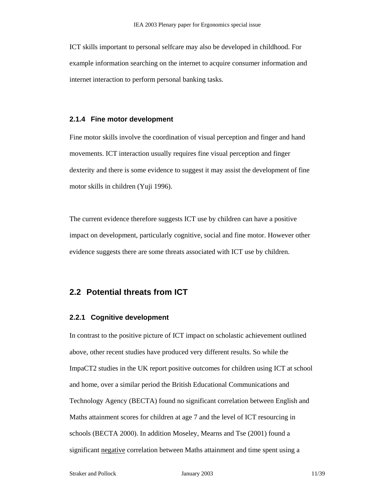ICT skills important to personal selfcare may also be developed in childhood. For example information searching on the internet to acquire consumer information and internet interaction to perform personal banking tasks.

#### **2.1.4 Fine motor development**

Fine motor skills involve the coordination of visual perception and finger and hand movements. ICT interaction usually requires fine visual perception and finger dexterity and there is some evidence to suggest it may assist the development of fine motor skills in children (Yuji 1996).

The current evidence therefore suggests ICT use by children can have a positive impact on development, particularly cognitive, social and fine motor. However other evidence suggests there are some threats associated with ICT use by children.

### **2.2 Potential threats from ICT**

#### **2.2.1 Cognitive development**

In contrast to the positive picture of ICT impact on scholastic achievement outlined above, other recent studies have produced very different results. So while the ImpaCT2 studies in the UK report positive outcomes for children using ICT at school and home, over a similar period the British Educational Communications and Technology Agency (BECTA) found no significant correlation between English and Maths attainment scores for children at age 7 and the level of ICT resourcing in schools (BECTA 2000). In addition Moseley, Mearns and Tse (2001) found a significant negative correlation between Maths attainment and time spent using a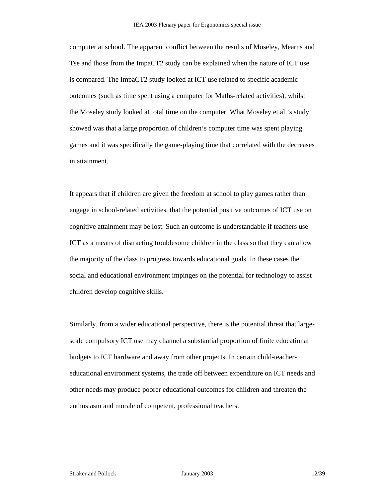computer at school. The apparent conflict between the results of Moseley, Mearns and Tse and those from the ImpaCT2 study can be explained when the nature of ICT use is compared. The ImpaCT2 study looked at ICT use related to specific academic outcomes (such as time spent using a computer for Maths-related activities), whilst the Moseley study looked at total time on the computer. What Moseley et al.'s study showed was that a large proportion of children's computer time was spent playing games and it was specifically the game-playing time that correlated with the decreases in attainment.

It appears that if children are given the freedom at school to play games rather than engage in school-related activities, that the potential positive outcomes of ICT use on cognitive attainment may be lost. Such an outcome is understandable if teachers use ICT as a means of distracting troublesome children in the class so that they can allow the majority of the class to progress towards educational goals. In these cases the social and educational environment impinges on the potential for technology to assist children develop cognitive skills.

Similarly, from a wider educational perspective, there is the potential threat that largescale compulsory ICT use may channel a substantial proportion of finite educational budgets to ICT hardware and away from other projects. In certain child-teachereducational environment systems, the trade off between expenditure on ICT needs and other needs may produce poorer educational outcomes for children and threaten the enthusiasm and morale of competent, professional teachers.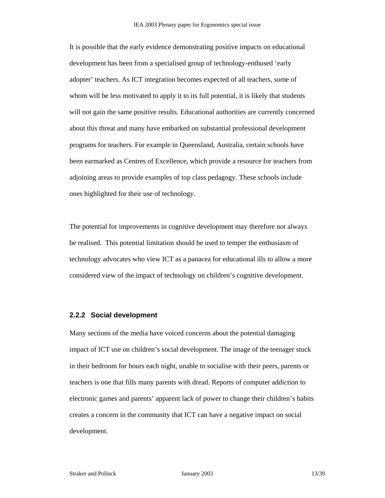It is possible that the early evidence demonstrating positive impacts on educational development has been from a specialised group of technology-enthused 'early adopter' teachers. As ICT integration becomes expected of all teachers, some of whom will be less motivated to apply it to its full potential, it is likely that students will not gain the same positive results. Educational authorities are currently concerned about this threat and many have embarked on substantial professional development programs for teachers. For example in Queensland, Australia, certain schools have been earmarked as Centres of Excellence, which provide a resource for teachers from adjoining areas to provide examples of top class pedagogy. These schools include ones highlighted for their use of technology.

The potential for improvements in cognitive development may therefore not always be realised. This potential limitation should be used to temper the enthusiasm of technology advocates who view ICT as a panacea for educational ills to allow a more considered view of the impact of technology on children's cognitive development.

#### **2.2.2 Social development**

Many sections of the media have voiced concerns about the potential damaging impact of ICT use on children's social development. The image of the teenager stuck in their bedroom for hours each night, unable to socialise with their peers, parents or teachers is one that fills many parents with dread. Reports of computer addiction to electronic games and parents' apparent lack of power to change their children's habits creates a concern in the community that ICT can have a negative impact on social development.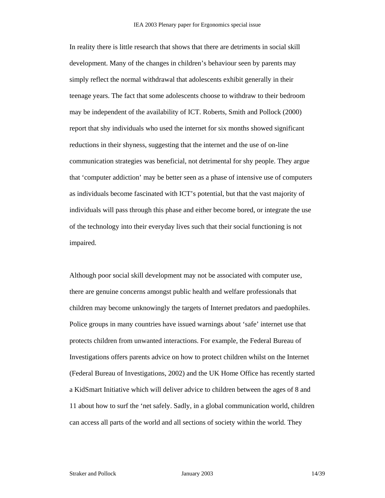In reality there is little research that shows that there are detriments in social skill development. Many of the changes in children's behaviour seen by parents may simply reflect the normal withdrawal that adolescents exhibit generally in their teenage years. The fact that some adolescents choose to withdraw to their bedroom may be independent of the availability of ICT. Roberts, Smith and Pollock (2000) report that shy individuals who used the internet for six months showed significant reductions in their shyness, suggesting that the internet and the use of on-line communication strategies was beneficial, not detrimental for shy people. They argue that 'computer addiction' may be better seen as a phase of intensive use of computers as individuals become fascinated with ICT's potential, but that the vast majority of individuals will pass through this phase and either become bored, or integrate the use of the technology into their everyday lives such that their social functioning is not impaired.

Although poor social skill development may not be associated with computer use, there are genuine concerns amongst public health and welfare professionals that children may become unknowingly the targets of Internet predators and paedophiles. Police groups in many countries have issued warnings about 'safe' internet use that protects children from unwanted interactions. For example, the Federal Bureau of Investigations offers parents advice on how to protect children whilst on the Internet (Federal Bureau of Investigations, 2002) and the UK Home Office has recently started a KidSmart Initiative which will deliver advice to children between the ages of 8 and 11 about how to surf the 'net safely. Sadly, in a global communication world, children can access all parts of the world and all sections of society within the world. They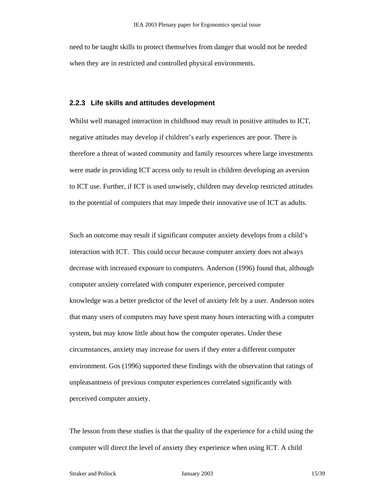need to be taught skills to protect themselves from danger that would not be needed when they are in restricted and controlled physical environments.

#### **2.2.3 Life skills and attitudes development**

Whilst well managed interaction in childhood may result in positive attitudes to ICT, negative attitudes may develop if children's early experiences are poor. There is therefore a threat of wasted community and family resources where large investments were made in providing ICT access only to result in children developing an aversion to ICT use. Further, if ICT is used unwisely, children may develop restricted attitudes to the potential of computers that may impede their innovative use of ICT as adults.

Such an outcome may result if significant computer anxiety develops from a child's interaction with ICT. This could occur because computer anxiety does not always decrease with increased exposure to computers. Anderson (1996) found that, although computer anxiety correlated with computer experience, perceived computer knowledge was a better predictor of the level of anxiety felt by a user. Anderson notes that many users of computers may have spent many hours interacting with a computer system, but may know little about how the computer operates. Under these circumstances, anxiety may increase for users if they enter a different computer environment. Gos (1996) supported these findings with the observation that ratings of unpleasantness of previous computer experiences correlated significantly with perceived computer anxiety.

The lesson from these studies is that the quality of the experience for a child using the computer will direct the level of anxiety they experience when using ICT. A child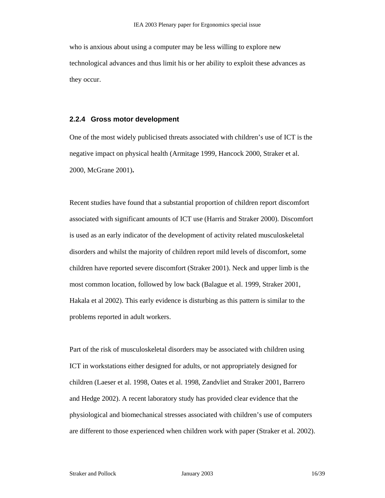who is anxious about using a computer may be less willing to explore new technological advances and thus limit his or her ability to exploit these advances as they occur.

#### **2.2.4 Gross motor development**

One of the most widely publicised threats associated with children's use of ICT is the negative impact on physical health (Armitage 1999, Hancock 2000, Straker et al. 2000, McGrane 2001)**.**

Recent studies have found that a substantial proportion of children report discomfort associated with significant amounts of ICT use (Harris and Straker 2000). Discomfort is used as an early indicator of the development of activity related musculoskeletal disorders and whilst the majority of children report mild levels of discomfort, some children have reported severe discomfort (Straker 2001). Neck and upper limb is the most common location, followed by low back (Balague et al. 1999, Straker 2001, Hakala et al 2002). This early evidence is disturbing as this pattern is similar to the problems reported in adult workers.

Part of the risk of musculoskeletal disorders may be associated with children using ICT in workstations either designed for adults, or not appropriately designed for children (Laeser et al. 1998, Oates et al. 1998, Zandvliet and Straker 2001, Barrero and Hedge 2002). A recent laboratory study has provided clear evidence that the physiological and biomechanical stresses associated with children's use of computers are different to those experienced when children work with paper (Straker et al. 2002).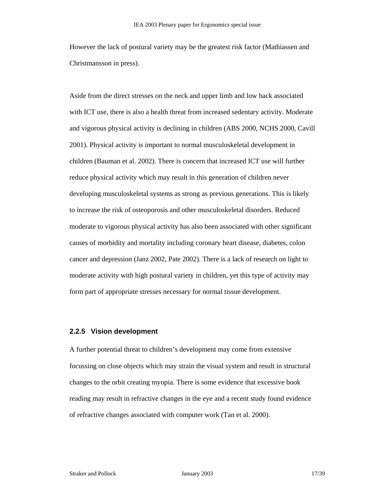However the lack of postural variety may be the greatest risk factor (Mathiassen and Christmansson in press).

Aside from the direct stresses on the neck and upper limb and low back associated with ICT use, there is also a health threat from increased sedentary activity. Moderate and vigorous physical activity is declining in children (ABS 2000, NCHS 2000, Cavill 2001). Physical activity is important to normal musculoskeletal development in children (Bauman et al. 2002). There is concern that increased ICT use will further reduce physical activity which may result in this generation of children never developing musculoskeletal systems as strong as previous generations. This is likely to increase the risk of osteoporosis and other musculoskeletal disorders. Reduced moderate to vigorous physical activity has also been associated with other significant causes of morbidity and mortality including coronary heart disease, diabetes, colon cancer and depression (Janz 2002, Pate 2002). There is a lack of research on light to moderate activity with high postural variety in children, yet this type of activity may form part of appropriate stresses necessary for normal tissue development.

#### **2.2.5 Vision development**

A further potential threat to children's development may come from extensive focussing on close objects which may strain the visual system and result in structural changes to the orbit creating myopia. There is some evidence that excessive book reading may result in refractive changes in the eye and a recent study found evidence of refractive changes associated with computer work (Tan et al. 2000).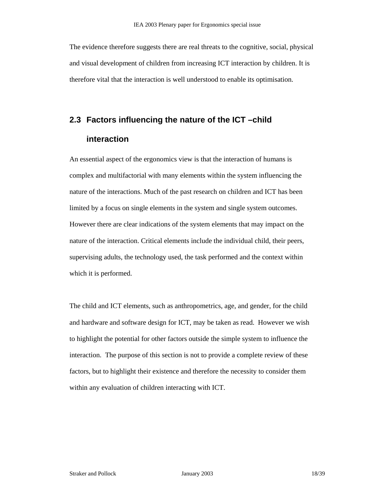The evidence therefore suggests there are real threats to the cognitive, social, physical and visual development of children from increasing ICT interaction by children. It is therefore vital that the interaction is well understood to enable its optimisation.

# **2.3 Factors influencing the nature of the ICT –child interaction**

An essential aspect of the ergonomics view is that the interaction of humans is complex and multifactorial with many elements within the system influencing the nature of the interactions. Much of the past research on children and ICT has been limited by a focus on single elements in the system and single system outcomes. However there are clear indications of the system elements that may impact on the nature of the interaction. Critical elements include the individual child, their peers, supervising adults, the technology used, the task performed and the context within which it is performed.

The child and ICT elements, such as anthropometrics, age, and gender, for the child and hardware and software design for ICT, may be taken as read. However we wish to highlight the potential for other factors outside the simple system to influence the interaction. The purpose of this section is not to provide a complete review of these factors, but to highlight their existence and therefore the necessity to consider them within any evaluation of children interacting with ICT.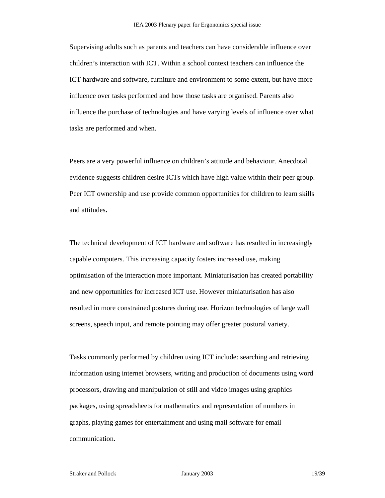Supervising adults such as parents and teachers can have considerable influence over children's interaction with ICT. Within a school context teachers can influence the ICT hardware and software, furniture and environment to some extent, but have more influence over tasks performed and how those tasks are organised. Parents also influence the purchase of technologies and have varying levels of influence over what tasks are performed and when.

Peers are a very powerful influence on children's attitude and behaviour. Anecdotal evidence suggests children desire ICTs which have high value within their peer group. Peer ICT ownership and use provide common opportunities for children to learn skills and attitudes**.**

The technical development of ICT hardware and software has resulted in increasingly capable computers. This increasing capacity fosters increased use, making optimisation of the interaction more important. Miniaturisation has created portability and new opportunities for increased ICT use. However miniaturisation has also resulted in more constrained postures during use. Horizon technologies of large wall screens, speech input, and remote pointing may offer greater postural variety.

Tasks commonly performed by children using ICT include: searching and retrieving information using internet browsers, writing and production of documents using word processors, drawing and manipulation of still and video images using graphics packages, using spreadsheets for mathematics and representation of numbers in graphs, playing games for entertainment and using mail software for email communication.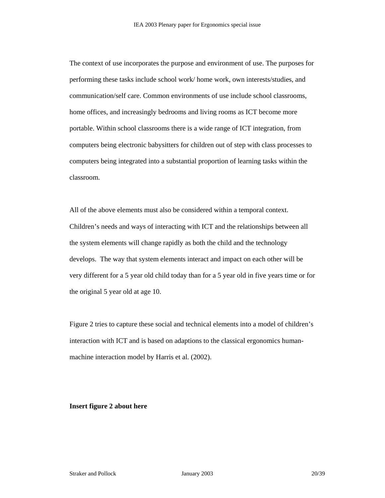The context of use incorporates the purpose and environment of use. The purposes for performing these tasks include school work/ home work, own interests/studies, and communication/self care. Common environments of use include school classrooms, home offices, and increasingly bedrooms and living rooms as ICT become more portable. Within school classrooms there is a wide range of ICT integration, from computers being electronic babysitters for children out of step with class processes to computers being integrated into a substantial proportion of learning tasks within the classroom.

All of the above elements must also be considered within a temporal context. Children's needs and ways of interacting with ICT and the relationships between all the system elements will change rapidly as both the child and the technology develops. The way that system elements interact and impact on each other will be very different for a 5 year old child today than for a 5 year old in five years time or for the original 5 year old at age 10.

Figure 2 tries to capture these social and technical elements into a model of children's interaction with ICT and is based on adaptions to the classical ergonomics humanmachine interaction model by Harris et al. (2002).

#### **Insert figure 2 about here**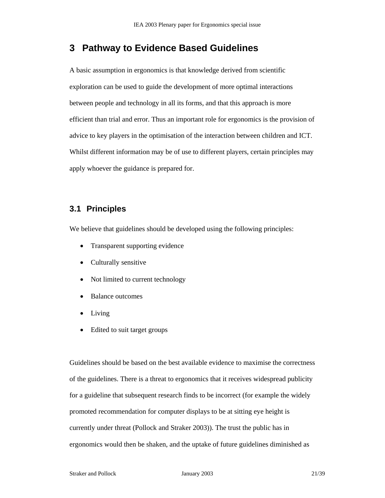# **3 Pathway to Evidence Based Guidelines**

A basic assumption in ergonomics is that knowledge derived from scientific exploration can be used to guide the development of more optimal interactions between people and technology in all its forms, and that this approach is more efficient than trial and error. Thus an important role for ergonomics is the provision of advice to key players in the optimisation of the interaction between children and ICT. Whilst different information may be of use to different players, certain principles may apply whoever the guidance is prepared for.

## **3.1 Principles**

We believe that guidelines should be developed using the following principles:

- Transparent supporting evidence
- Culturally sensitive
- Not limited to current technology
- Balance outcomes
- Living
- Edited to suit target groups

Guidelines should be based on the best available evidence to maximise the correctness of the guidelines. There is a threat to ergonomics that it receives widespread publicity for a guideline that subsequent research finds to be incorrect (for example the widely promoted recommendation for computer displays to be at sitting eye height is currently under threat (Pollock and Straker 2003)). The trust the public has in ergonomics would then be shaken, and the uptake of future guidelines diminished as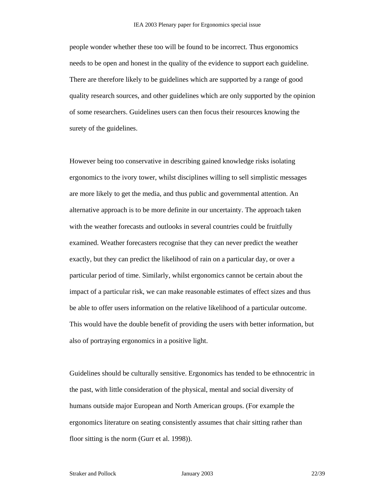people wonder whether these too will be found to be incorrect. Thus ergonomics needs to be open and honest in the quality of the evidence to support each guideline. There are therefore likely to be guidelines which are supported by a range of good quality research sources, and other guidelines which are only supported by the opinion of some researchers. Guidelines users can then focus their resources knowing the surety of the guidelines.

However being too conservative in describing gained knowledge risks isolating ergonomics to the ivory tower, whilst disciplines willing to sell simplistic messages are more likely to get the media, and thus public and governmental attention. An alternative approach is to be more definite in our uncertainty. The approach taken with the weather forecasts and outlooks in several countries could be fruitfully examined. Weather forecasters recognise that they can never predict the weather exactly, but they can predict the likelihood of rain on a particular day, or over a particular period of time. Similarly, whilst ergonomics cannot be certain about the impact of a particular risk, we can make reasonable estimates of effect sizes and thus be able to offer users information on the relative likelihood of a particular outcome. This would have the double benefit of providing the users with better information, but also of portraying ergonomics in a positive light.

Guidelines should be culturally sensitive. Ergonomics has tended to be ethnocentric in the past, with little consideration of the physical, mental and social diversity of humans outside major European and North American groups. (For example the ergonomics literature on seating consistently assumes that chair sitting rather than floor sitting is the norm (Gurr et al. 1998)).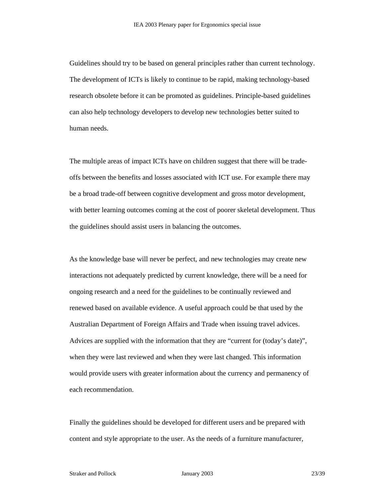Guidelines should try to be based on general principles rather than current technology. The development of ICTs is likely to continue to be rapid, making technology-based research obsolete before it can be promoted as guidelines. Principle-based guidelines can also help technology developers to develop new technologies better suited to human needs.

The multiple areas of impact ICTs have on children suggest that there will be tradeoffs between the benefits and losses associated with ICT use. For example there may be a broad trade-off between cognitive development and gross motor development, with better learning outcomes coming at the cost of poorer skeletal development. Thus the guidelines should assist users in balancing the outcomes.

As the knowledge base will never be perfect, and new technologies may create new interactions not adequately predicted by current knowledge, there will be a need for ongoing research and a need for the guidelines to be continually reviewed and renewed based on available evidence. A useful approach could be that used by the Australian Department of Foreign Affairs and Trade when issuing travel advices. Advices are supplied with the information that they are "current for (today's date)", when they were last reviewed and when they were last changed. This information would provide users with greater information about the currency and permanency of each recommendation.

Finally the guidelines should be developed for different users and be prepared with content and style appropriate to the user. As the needs of a furniture manufacturer,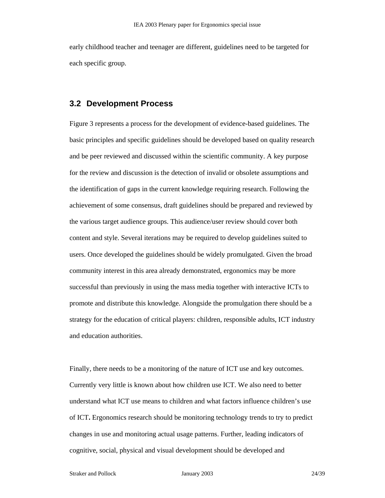early childhood teacher and teenager are different, guidelines need to be targeted for each specific group.

### **3.2 Development Process**

Figure 3 represents a process for the development of evidence-based guidelines. The basic principles and specific guidelines should be developed based on quality research and be peer reviewed and discussed within the scientific community. A key purpose for the review and discussion is the detection of invalid or obsolete assumptions and the identification of gaps in the current knowledge requiring research. Following the achievement of some consensus, draft guidelines should be prepared and reviewed by the various target audience groups. This audience/user review should cover both content and style. Several iterations may be required to develop guidelines suited to users. Once developed the guidelines should be widely promulgated. Given the broad community interest in this area already demonstrated, ergonomics may be more successful than previously in using the mass media together with interactive ICTs to promote and distribute this knowledge. Alongside the promulgation there should be a strategy for the education of critical players: children, responsible adults, ICT industry and education authorities.

Finally, there needs to be a monitoring of the nature of ICT use and key outcomes. Currently very little is known about how children use ICT. We also need to better understand what ICT use means to children and what factors influence children's use of ICT**.** Ergonomics research should be monitoring technology trends to try to predict changes in use and monitoring actual usage patterns. Further, leading indicators of cognitive, social, physical and visual development should be developed and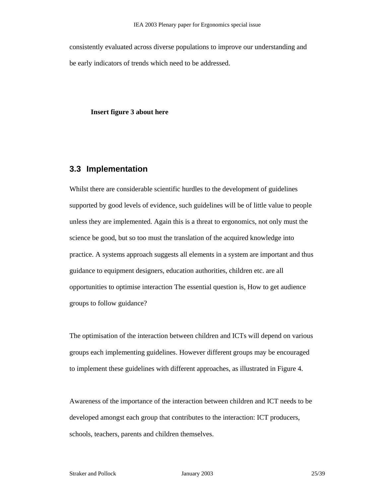consistently evaluated across diverse populations to improve our understanding and be early indicators of trends which need to be addressed.

**Insert figure 3 about here** 

### **3.3 Implementation**

Whilst there are considerable scientific hurdles to the development of guidelines supported by good levels of evidence, such guidelines will be of little value to people unless they are implemented. Again this is a threat to ergonomics, not only must the science be good, but so too must the translation of the acquired knowledge into practice. A systems approach suggests all elements in a system are important and thus guidance to equipment designers, education authorities, children etc. are all opportunities to optimise interaction The essential question is, How to get audience groups to follow guidance?

The optimisation of the interaction between children and ICTs will depend on various groups each implementing guidelines. However different groups may be encouraged to implement these guidelines with different approaches, as illustrated in Figure 4.

Awareness of the importance of the interaction between children and ICT needs to be developed amongst each group that contributes to the interaction: ICT producers, schools, teachers, parents and children themselves.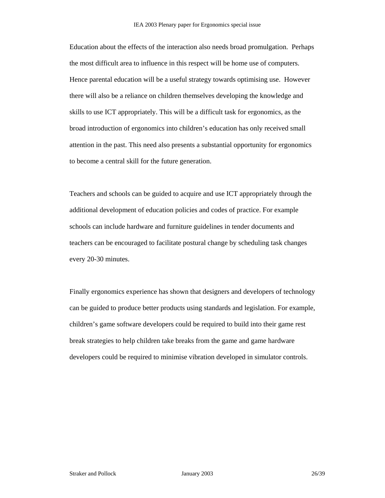Education about the effects of the interaction also needs broad promulgation. Perhaps the most difficult area to influence in this respect will be home use of computers. Hence parental education will be a useful strategy towards optimising use. However there will also be a reliance on children themselves developing the knowledge and skills to use ICT appropriately. This will be a difficult task for ergonomics, as the broad introduction of ergonomics into children's education has only received small attention in the past. This need also presents a substantial opportunity for ergonomics to become a central skill for the future generation.

Teachers and schools can be guided to acquire and use ICT appropriately through the additional development of education policies and codes of practice. For example schools can include hardware and furniture guidelines in tender documents and teachers can be encouraged to facilitate postural change by scheduling task changes every 20-30 minutes.

Finally ergonomics experience has shown that designers and developers of technology can be guided to produce better products using standards and legislation. For example, children's game software developers could be required to build into their game rest break strategies to help children take breaks from the game and game hardware developers could be required to minimise vibration developed in simulator controls.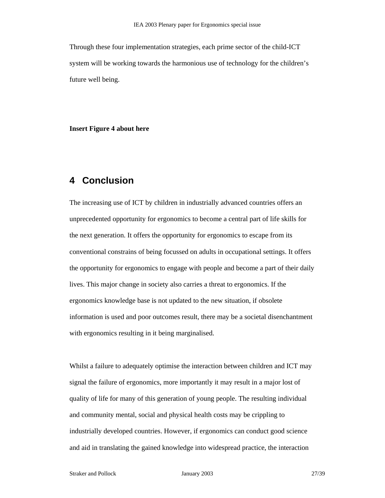Through these four implementation strategies, each prime sector of the child-ICT system will be working towards the harmonious use of technology for the children's future well being.

**Insert Figure 4 about here** 

# **4 Conclusion**

The increasing use of ICT by children in industrially advanced countries offers an unprecedented opportunity for ergonomics to become a central part of life skills for the next generation. It offers the opportunity for ergonomics to escape from its conventional constrains of being focussed on adults in occupational settings. It offers the opportunity for ergonomics to engage with people and become a part of their daily lives. This major change in society also carries a threat to ergonomics. If the ergonomics knowledge base is not updated to the new situation, if obsolete information is used and poor outcomes result, there may be a societal disenchantment with ergonomics resulting in it being marginalised.

Whilst a failure to adequately optimise the interaction between children and ICT may signal the failure of ergonomics, more importantly it may result in a major lost of quality of life for many of this generation of young people. The resulting individual and community mental, social and physical health costs may be crippling to industrially developed countries. However, if ergonomics can conduct good science and aid in translating the gained knowledge into widespread practice, the interaction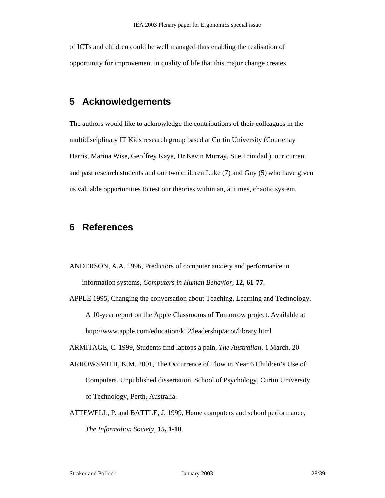of ICTs and children could be well managed thus enabling the realisation of opportunity for improvement in quality of life that this major change creates.

# **5 Acknowledgements**

The authors would like to acknowledge the contributions of their colleagues in the multidisciplinary IT Kids research group based at Curtin University (Courtenay Harris, Marina Wise, Geoffrey Kaye, Dr Kevin Murray, Sue Trinidad ), our current and past research students and our two children Luke (7) and Guy (5) who have given us valuable opportunities to test our theories within an, at times, chaotic system.

# **6 References**

ANDERSON, A.A. 1996, Predictors of computer anxiety and performance in information systems, *Computers in Human Behavior,* **12***,* **61-77**.

APPLE 1995, Changing the conversation about Teaching, Learning and Technology. A 10-year report on the Apple Classrooms of Tomorrow project. Available at http://www.apple.com/education/k12/leadership/acot/library.html

ARMITAGE, C. 1999, Students find laptops a pain, *The Australian*, 1 March, 20

- ARROWSMITH, K.M. 2001, The Occurrence of Flow in Year 6 Children's Use of Computers. Unpublished dissertation. School of Psychology, Curtin University of Technology, Perth, Australia.
- ATTEWELL, P. and BATTLE, J. 1999, Home computers and school performance, *The Information Society,* **15, 1-10**.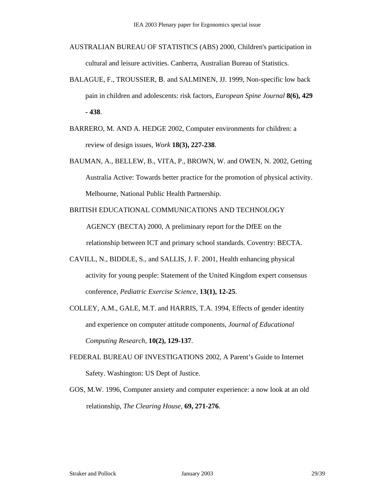- AUSTRALIAN BUREAU OF STATISTICS (ABS) 2000, Children's participation in cultural and leisure activities. Canberra, Australian Bureau of Statistics.
- BALAGUE, F., TROUSSIER, B. and SALMINEN, JJ. 1999, Non-specific low back pain in children and adolescents: risk factors, *European Spine Journal* **8(6), 429 - 438**.
- BARRERO, M. AND A. HEDGE 2002, Computer environments for children: a review of design issues, *Work* **18(3), 227-238**.
- BAUMAN, A., BELLEW, B., VITA, P., BROWN, W. and OWEN, N. 2002, Getting Australia Active: Towards better practice for the promotion of physical activity. Melbourne, National Public Health Partnership.
- BRITISH EDUCATIONAL COMMUNICATIONS AND TECHNOLOGY AGENCY (BECTA) 2000, A preliminary report for the DfEE on the relationship between ICT and primary school standards. Coventry: BECTA.
- CAVILL, N., BIDDLE, S., and SALLIS, J. F. 2001, Health enhancing physical activity for young people: Statement of the United Kingdom expert consensus conference, *Pediatric Exercise Science,* **13(1), 12-25**.
- COLLEY, A.M., GALE, M.T. and HARRIS, T.A. 1994, Effects of gender identity and experience on computer attitude components, *Journal of Educational Computing Research*, **10(2), 129-137**.
- FEDERAL BUREAU OF INVESTIGATIONS 2002, A Parent's Guide to Internet Safety. Washington: US Dept of Justice.
- GOS, M.W. 1996, Computer anxiety and computer experience: a now look at an old relationship, *The Clearing House,* **69, 271-276**.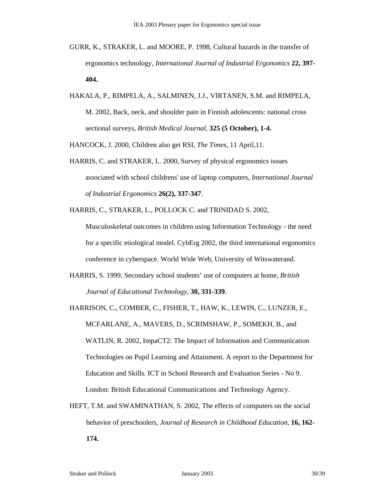- GURR, K., STRAKER, L. and MOORE, P. 1998, Cultural hazards in the transfer of ergonomics technology, *International Journal of Industrial Ergonomics* **22, 397- 404.**
- HAKALA, P., RIMPELA, A., SALMINEN, J.J., VIRTANEN, S.M. and RIMPELA, M. 2002, Back, neck, and shoulder pain in Finnish adolescents: national cross sectional surveys, *British Medical Journal*, **325 (5 October), 1-4.**

HANCOCK, J. 2000, Children also get RSI, *The Times*, 11 April,11.

HARRIS, C. and STRAKER, L. 2000, Survey of physical ergonomics issues associated with school childrens' use of laptop computers, *International Journal of Industrial Ergonomics* **26(2), 337-347**.

HARRIS, C., STRAKER, L., POLLOCK C. and TRINIDAD S. 2002,

Musculoskeletal outcomes in children using Information Technology - the need for a specific etiological model. CybErg 2002, the third international ergonomics conference in cyberspace. World Wide Web, University of Witswaterand.

- HARRIS, S. 1999, Secondary school students' use of computers at home, *British Journal of Educational Technology*, **30, 331-339**.
- HARRISON, C., COMBER, C., FISHER, T., HAW, K., LEWIN, C., LUNZER, E., MCFARLANE, A., MAVERS, D., SCRIMSHAW, P., SOMEKH, B., and WATLIN, R. 2002, ImpaCT2: The Impact of Information and Communication Technologies on Pupil Learning and Attainment. A report to the Department for Education and Skills. ICT in School Research and Evaluation Series - No 9. London: British Educational Communications and Technology Agency.
- HEFT, T.M. and SWAMINATHAN, S. 2002, The effects of computers on the social behavior of preschoolers, *Journal of Research in Childhood Education*, **16, 162- 174.**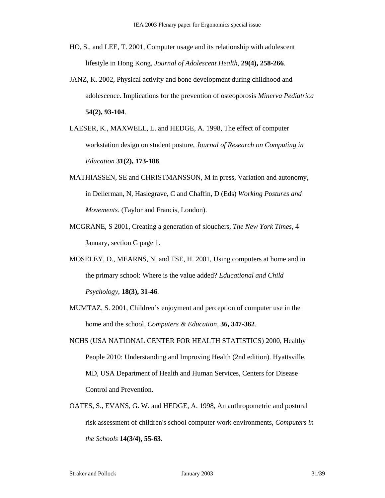- HO, S., and LEE, T. 2001, Computer usage and its relationship with adolescent lifestyle in Hong Kong, *Journal of Adolescent Health*, **29(4), 258-266**.
- JANZ, K. 2002, Physical activity and bone development during childhood and adolescence. Implications for the prevention of osteoporosis *Minerva Pediatrica* **54(2), 93-104**.
- LAESER, K., MAXWELL, L. and HEDGE, A. 1998, The effect of computer workstation design on student posture, *Journal of Research on Computing in Education* **31(2), 173-188**.
- MATHIASSEN, SE and CHRISTMANSSON, M in press, Variation and autonomy, in Dellerman, N, Haslegrave, C and Chaffin, D (Eds) *Working Postures and Movements*. (Taylor and Francis, London).
- MCGRANE, S 2001, Creating a generation of slouchers, *The New York Times*, 4 January, section G page 1.
- MOSELEY, D., MEARNS, N. and TSE, H. 2001, Using computers at home and in the primary school: Where is the value added? *Educational and Child Psychology*, **18(3), 31-46**.
- MUMTAZ, S. 2001, Children's enjoyment and perception of computer use in the home and the school, *Computers & Education*, **36, 347-362**.
- NCHS (USA NATIONAL CENTER FOR HEALTH STATISTICS) 2000, Healthy People 2010: Understanding and Improving Health (2nd edition). Hyattsville, MD, USA Department of Health and Human Services, Centers for Disease Control and Prevention.
- OATES, S., EVANS, G. W. and HEDGE, A. 1998, An anthropometric and postural risk assessment of children's school computer work environments, *Computers in the Schools* **14(3/4), 55-63**.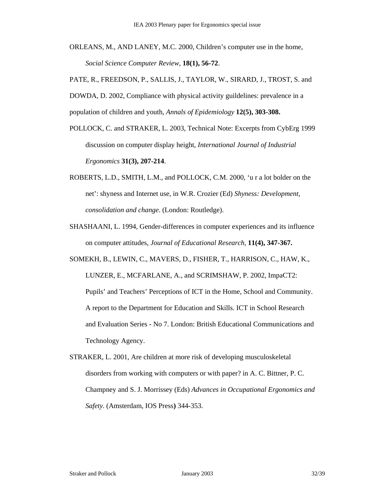ORLEANS, M., AND LANEY, M.C. 2000, Children's computer use in the home, *Social Science Computer Review*, **18(1), 56-72**.

PATE, R., FREEDSON, P., SALLIS, J., TAYLOR, W., SIRARD, J., TROST, S. and DOWDA, D. 2002, Compliance with physical activity guildelines: prevalence in a population of children and youth, *Annals of Epidemiology* **12(5), 303-308.**

POLLOCK, C. and STRAKER, L. 2003, Technical Note: Excerpts from CybErg 1999 discussion on computer display height, *International Journal of Industrial Ergonomics* **31(3), 207-214**.

ROBERTS, L.D., SMITH, L.M., and POLLOCK, C.M. 2000, 'u r a lot bolder on the net': shyness and Internet use, in W.R. Crozier (Ed) *Shyness: Development, consolidation and change*. (London: Routledge).

SHASHAANI, L. 1994, Gender-differences in computer experiences and its influence on computer attitudes, *Journal of Educational Research*, **11(4), 347-367.**

SOMEKH, B., LEWIN, C., MAVERS, D., FISHER, T., HARRISON, C., HAW, K., LUNZER, E., MCFARLANE, A., and SCRIMSHAW, P. 2002, ImpaCT2: Pupils' and Teachers' Perceptions of ICT in the Home, School and Community. A report to the Department for Education and Skills. ICT in School Research and Evaluation Series - No 7. London: British Educational Communications and Technology Agency.

STRAKER, L. 2001, Are children at more risk of developing musculoskeletal disorders from working with computers or with paper? in A. C. Bittner, P. C. Champney and S. J. Morrissey (Eds) *Advances in Occupational Ergonomics and Safety*. (Amsterdam, IOS Press**)** 344-353.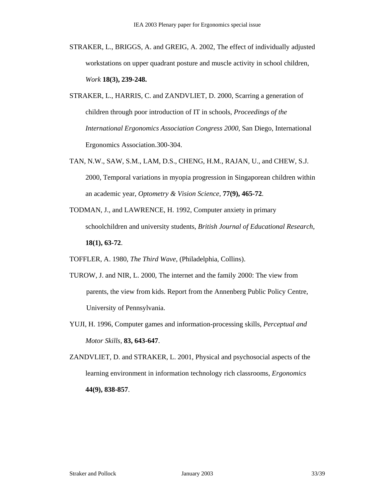- STRAKER, L., BRIGGS, A. and GREIG, A. 2002, The effect of individually adjusted workstations on upper quadrant posture and muscle activity in school children, *Work* **18(3), 239-248.**
- STRAKER, L., HARRIS, C. and ZANDVLIET, D. 2000, Scarring a generation of children through poor introduction of IT in schools, *Proceedings of the International Ergonomics Association Congress 2000*, San Diego, International Ergonomics Association.300-304.
- TAN, N.W., SAW, S.M., LAM, D.S., CHENG, H.M., RAJAN, U., and CHEW, S.J. 2000, Temporal variations in myopia progression in Singaporean children within an academic year, *Optometry & Vision Science*, **77(9), 465-72**.
- TODMAN, J., and LAWRENCE, H. 1992, Computer anxiety in primary schoolchildren and university students, *British Journal of Educational Research*, **18(1), 63-72**.

TOFFLER, A. 1980, *The Third Wave*, (Philadelphia, Collins).

- TUROW, J. and NIR, L. 2000, The internet and the family 2000: The view from parents, the view from kids. Report from the Annenberg Public Policy Centre, University of Pennsylvania.
- YUJI, H. 1996, Computer games and information-processing skills, *Perceptual and Motor Skills,* **83, 643-647**.
- ZANDVLIET, D. and STRAKER, L. 2001, Physical and psychosocial aspects of the learning environment in information technology rich classrooms, *Ergonomics* **44(9), 838-857**.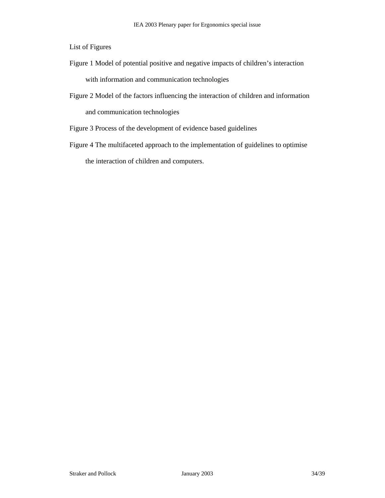List of Figures

- Figure 1 Model of potential positive and negative impacts of children's interaction with information and communication technologies
- Figure 2 Model of the factors influencing the interaction of children and information and communication technologies
- Figure 3 Process of the development of evidence based guidelines
- Figure 4 The multifaceted approach to the implementation of guidelines to optimise the interaction of children and computers.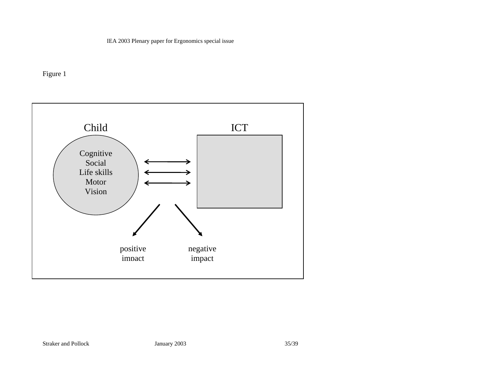Figure 1

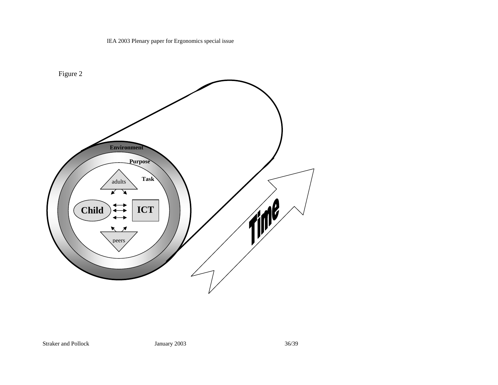

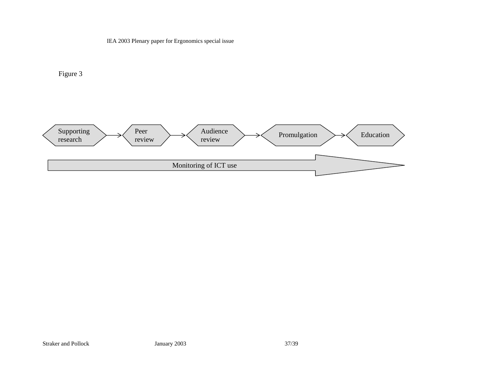

IEA 2003 Plenary paper for Ergonomics special issue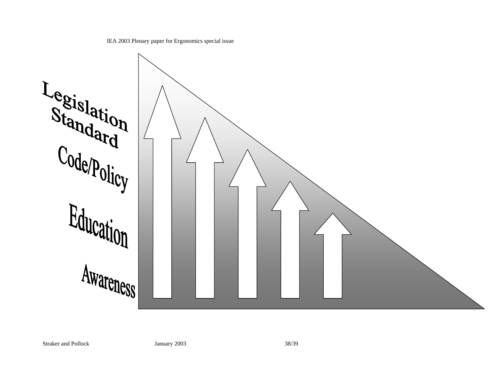IEA 2003 Plenary paper for Ergonomics special issue



Straker and Pollock January 2003 38/39